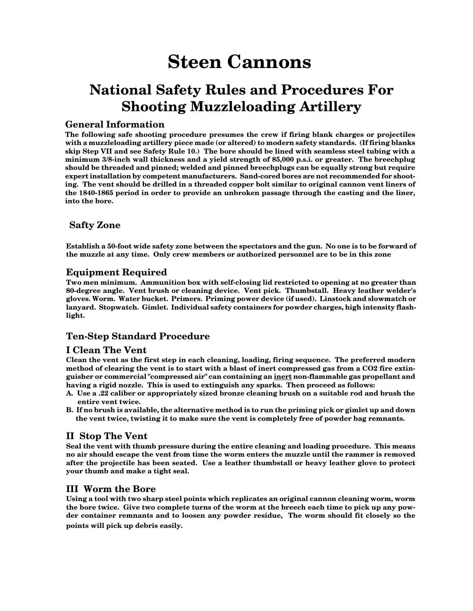### **National Safety Rules and Procedures For Shooting Muzzleloading Artillery**

#### **General Information**

**The following safe shooting procedure presumes the crew if firing blank charges or projectiles with a muzzleloading artillery piece made (or altered) to modern safety standards. (If firing blanks skip Step VII and see Safety Rule 10.) The bore should be lined with seamless steel tubing with a minimum 3/8-inch wall thickness and a yield strength of 85,000 p.s.i. or greater. The breechplug should be threaded and pinned; welded and pinned breechplugs can be equally strong but require expert installation by competent manufacturers. Sand-cored bores are not recommended for shooting. The vent should be drilled in a threaded copper bolt similar to original cannon vent liners of the 1840-1865 period in order to provide an unbroken passage through the casting and the liner, into the bore.**

#### **Safty Zone**

**Establish a 50-foot wide safety zone between the spectators and the gun. No one is to be forward of the muzzle at any time. Only crew members or authorized personnel are to be in this zone**

#### **Equipment Required**

**Two men minimum. Ammunition box with self-closing lid restricted to opening at no greater than 80-degree angle. Vent brush or cleaning device. Vent pick. Thumbstall. Heavy leather welder's gloves. Worm. Water bucket. Primers. Priming power device (if used). Linstock and slowmatch or lanyard. Stopwatch. Gimlet. Individual safety containers for powder charges, high intensity flashlight.**

#### **Ten-Step Standard Procedure**

#### **I Clean The Vent**

**Clean the vent as the first step in each cleaning, loading, firing sequence. The preferred modern method of clearing the vent is to start with a blast of inert compressed gas from a CO2 fire extinguisher or commercial "compressed air" can containing an inert non-flammable gas propellant and having a rigid nozzle. This is used to extinguish any sparks. Then proceed as follows:**

- **A. Use a .22 caliber or appropriately sized bronze cleaning brush on a suitable rod and brush the entire vent twice.**
- **B. If no brush is available, the alternative method is to run the priming pick or gimlet up and down the vent twice, twisting it to make sure the vent is completely free of powder bag remnants.**

#### **II Stop The Vent**

**Seal the vent with thumb pressure during the entire cleaning and loading procedure. This means no air should escape the vent from time the worm enters the muzzle until the rammer is removed after the projectile has been seated. Use a leather thumbstall or heavy leather glove to protect your thumb and make a tight seal.**

#### **III Worm the Bore**

**Using a tool with two sharp steel points which replicates an original cannon cleaning worm, worm the bore twice. Give two complete turns of the worm at the breech each time to pick up any powder container remnants and to loosen any powder residue, The worm should fit closely so the points will pick up debris easily.**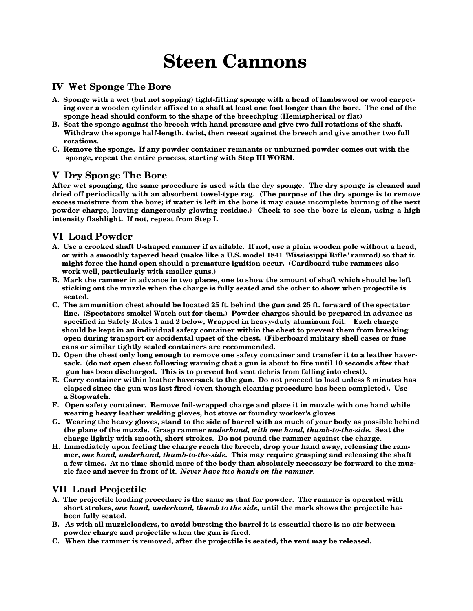#### **IV Wet Sponge The Bore**

- **A. Sponge with a wet (but not sopping) tight-fitting sponge with a head of lambswool or wool carpet ing over a wooden cylinder affixed to a shaft at least one foot longer than the bore. The end of the sponge head should conform to the shape of the breechplug (Hemispherical or flat)**
- **B. Seat the sponge against the breech with hand pressure and give two full rotations of the shaft. Withdraw the sponge half-length, twist, then reseat against the breech and give another two full rotations.**
- **C. Remove the sponge. If any powder container remnants or unburned powder comes out with the sponge, repeat the entire process, starting with Step III WORM.**

#### **V Dry Sponge The Bore**

**After wet sponging, the same procedure is used with the dry sponge. The dry sponge is cleaned and dried off periodically with an absorbent towel-type rag. (The purpose of the dry sponge is to remove excess moisture from the bore; if water is left in the bore it may cause incomplete burning of the next powder charge, leaving dangerously glowing residue.) Check to see the bore is clean, using a high intensity flashlight. If not, repeat from Step I.**

#### **VI Load Powder**

- **A. Use a crooked shaft U-shaped rammer if available. If not, use a plain wooden pole without a head, or with a smoothly tapered head (make like a U.S. model 1841 "Mississippi Rifle" ramrod) so that it might force the hand open should a premature ignition occur. (Cardboard tube rammers also work well, particularly with smaller guns.)**
- **B. Mark the rammer in advance in two places, one to show the amount of shaft which should be left sticking out the muzzle when the charge is fully seated and the other to show when projectile is seated.**
- **C. The ammunition chest should be located 25 ft. behind the gun and 25 ft. forward of the spectator line. (Spectators smoke! Watch out for them.) Powder charges should be prepared in advance as specified in Safety Rules 1 and 2 below, Wrapped in heavy-duty aluminum foil. Each charge should be kept in an individual safety container within the chest to prevent them from breaking open during transport or accidental upset of the chest. (Fiberboard military shell cases or fuse cans or similar tightly sealed containers are recommended.**
- **D. Open the chest only long enough to remove one safety container and transfer it to a leather haver sack. (do not open chest following warning that a gun is about to fire until 10 seconds after that gun has been discharged. This is to prevent hot vent debris from falling into chest).**
- **E. Carry container within leather haversack to the gun. Do not proceed to load unless 3 minutes has elapsed since the gun was last fired (even though cleaning procedure has been completed). Use a Stopwatch.**
- **F. Open safety container. Remove foil-wrapped charge and place it in muzzle with one hand while wearing heavy leather welding gloves, hot stove or foundry worker's gloves**
- **G. Wearing the heavy gloves, stand to the side of barrel with as much of your body as possible behind the plane of the muzzle. Grasp rammer** *underhand, with one hand, thumb-to-the-side.* **Seat the charge lightly with smooth, short strokes. Do not pound the rammer against the charge.**
- **H. Immediately upon feeling the charge reach the breech, drop your hand away, releasing the ram mer,** *one hand, underhand, thumb-to-the-side.* **This may require grasping and releasing the shaft a few times. At no time should more of the body than absolutely necessary be forward to the muz zle face and never in front of it.** *Never have two hands on the rammer.*

#### **VII Load Projectile**

- **A. The projectile loading procedure is the same as that for powder. The rammer is operated with short strokes,** *one hand, underhand, thumb to the side,* **until the mark shows the projectile has been fully seated.**
- **B. As with all muzzleloaders, to avoid bursting the barrel it is essential there is no air between powder charge and projectile when the gun is fired.**
- **C. When the rammer is removed, after the projectile is seated, the vent may be released.**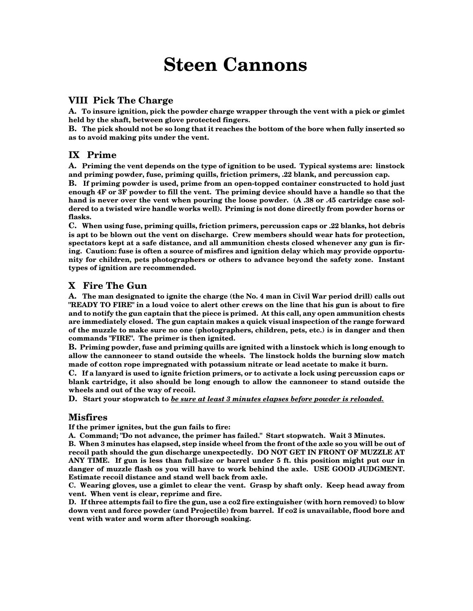#### **VIII Pick The Charge**

**A. To insure ignition, pick the powder charge wrapper through the vent with a pick or gimlet held by the shaft, between glove protected fingers.**

**B. The pick should not be so long that it reaches the bottom of the bore when fully inserted so as to avoid making pits under the vent.**

#### **IX Prime**

**A. Priming the vent depends on the type of ignition to be used. Typical systems are: linstock and priming powder, fuse, priming quills, friction primers, .22 blank, and percussion cap.**

**B. If priming powder is used, prime from an open-topped container constructed to hold just enough 4F or 3F powder to fill the vent. The priming device should have a handle so that the hand is never over the vent when pouring the loose powder. (A .38 or .45 cartridge case soldered to a twisted wire handle works well). Priming is not done directly from powder horns or flasks.**

**C. When using fuse, priming quills, friction primers, percussion caps or .22 blanks, hot debris is apt to be blown out the vent on discharge. Crew members should wear hats for protection, spectators kept at a safe distance, and all ammunition chests closed whenever any gun is firing. Caution: fuse is often a source of misfires and ignition delay which may provide opportunity for children, pets photographers or others to advance beyond the safety zone. Instant types of ignition are recommended.**

#### **X Fire The Gun**

**A. The man designated to ignite the charge (the No. 4 man in Civil War period drill) calls out "READY TO FIRE" in a loud voice to alert other crews on the line that his gun is about to fire and to notify the gun captain that the piece is primed. At this call, any open ammunition chests are immediately closed. The gun captain makes a quick visual inspection of the range forward of the muzzle to make sure no one (photographers, children, pets, etc.) is in danger and then commands "FIRE". The primer is then ignited.**

**B. Priming powder, fuse and priming quills are ignited with a linstock which is long enough to allow the cannoneer to stand outside the wheels. The linstock holds the burning slow match made of cotton rope impregnated with potassium nitrate or lead acetate to make it burn.**

**C. If a lanyard is used to ignite friction primers, or to activate a lock using percussion caps or blank cartridge, it also should be long enough to allow the cannoneer to stand outside the wheels and out of the way of recoil.**

**D. Start your stopwatch to** *be sure at least 3 minutes elapses before powder is reloaded.*

#### **Misfires**

**If the primer ignites, but the gun fails to fire:**

**A. Command; "Do not advance, the primer has failed." Start stopwatch. Wait 3 Minutes.**

**B. When 3 minutes has elapsed, step inside wheel from the front of the axle so you will be out of recoil path should the gun discharge unexpectedly. DO NOT GET IN FRONT OF MUZZLE AT ANY TIME. If gun is less than full-size or barrel under 5 ft. this position might put our in danger of muzzle flash os you will have to work behind the axle. USE GOOD JUDGMENT. Estimate recoil distance and stand well back from axle.**

**C. Wearing gloves, use a gimlet to clear the vent. Grasp by shaft only. Keep head away from vent. When vent is clear, reprime and fire.**

**D. If three attempts fail to fire the gun, use a co2 fire extinguisher (with horn removed) to blow down vent and force powder (and Projectile) from barrel. If co2 is unavailable, flood bore and vent with water and worm after thorough soaking.**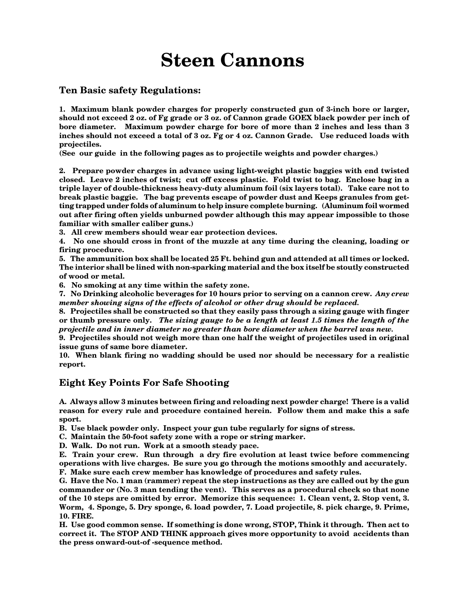#### **Ten Basic safety Regulations:**

**1. Maximum blank powder charges for properly constructed gun of 3-inch bore or larger, should not exceed 2 oz. of Fg grade or 3 oz. of Cannon grade GOEX black powder per inch of bore diameter. Maximum powder charge for bore of more than 2 inches and less than 3 inches should not exceed a total of 3 oz. Fg or 4 oz. Cannon Grade. Use reduced loads with projectiles.**

**(See our guide in the following pages as to projectile weights and powder charges.)**

**2. Prepare powder charges in advance using light-weight plastic baggies with end twisted closed. Leave 2 inches of twist; cut off excess plastic. Fold twist to bag. Enclose bag in a triple layer of double-thickness heavy-duty aluminum foil (six layers total). Take care not to break plastic baggie. The bag prevents escape of powder dust and Keeps granules from getting trapped under folds of aluminum to help insure complete burning. (Aluminum foil wormed out after firing often yields unburned powder although this may appear impossible to those familiar with smaller caliber guns.)**

**3. All crew members should wear ear protection devices.**

**4. No one should cross in front of the muzzle at any time during the cleaning, loading or firing procedure.**

**5. The ammunition box shall be located 25 Ft. behind gun and attended at all times or locked. The interior shall be lined with non-sparking material and the box itself be stoutly constructed of wood or metal.**

**6. No smoking at any time within the safety zone.**

**7. No Drinking alcoholic beverages for 10 hours prior to serving on a cannon crew.** *Any crew member showing signs of the effects of alcohol or other drug should be replaced.*

**8. Projectiles shall be constructed so that they easily pass through a sizing gauge with finger or thumb pressure only.** *The sizing gauge to be a length at least 1.5 times the length of the projectile and in inner diameter no greater than bore diameter when the barrel was new.*

**9. Projectiles should not weigh more than one half the weight of projectiles used in original issue guns of same bore diameter.**

**10. When blank firing no wadding should be used nor should be necessary for a realistic report.**

#### **Eight Key Points For Safe Shooting**

**A. Always allow 3 minutes between firing and reloading next powder charge! There is a valid reason for every rule and procedure contained herein. Follow them and make this a safe sport.**

**B. Use black powder only. Inspect your gun tube regularly for signs of stress.**

**C. Maintain the 50-foot safety zone with a rope or string marker.**

**D. Walk. Do not run. Work at a smooth steady pace.**

**E. Train your crew. Run through a dry fire evolution at least twice before commencing operations with live charges. Be sure you go through the motions smoothly and accurately. F. Make sure each crew member has knowledge of procedures and safety rules.**

**G. Have the No. 1 man (rammer) repeat the step instructions as they are called out by the gun commander or (No. 3 man tending the vent). This serves as a procedural check so that none of the 10 steps are omitted by error. Memorize this sequence: 1. Clean vent, 2. Stop vent, 3. Worm, 4. Sponge, 5. Dry sponge, 6. load powder, 7. Load projectile, 8. pick charge, 9. Prime, 10. FIRE.**

**H. Use good common sense. If something is done wrong, STOP, Think it through. Then act to correct it. The STOP AND THINK approach gives more opportunity to avoid accidents than the press onward-out-of -sequence method.**